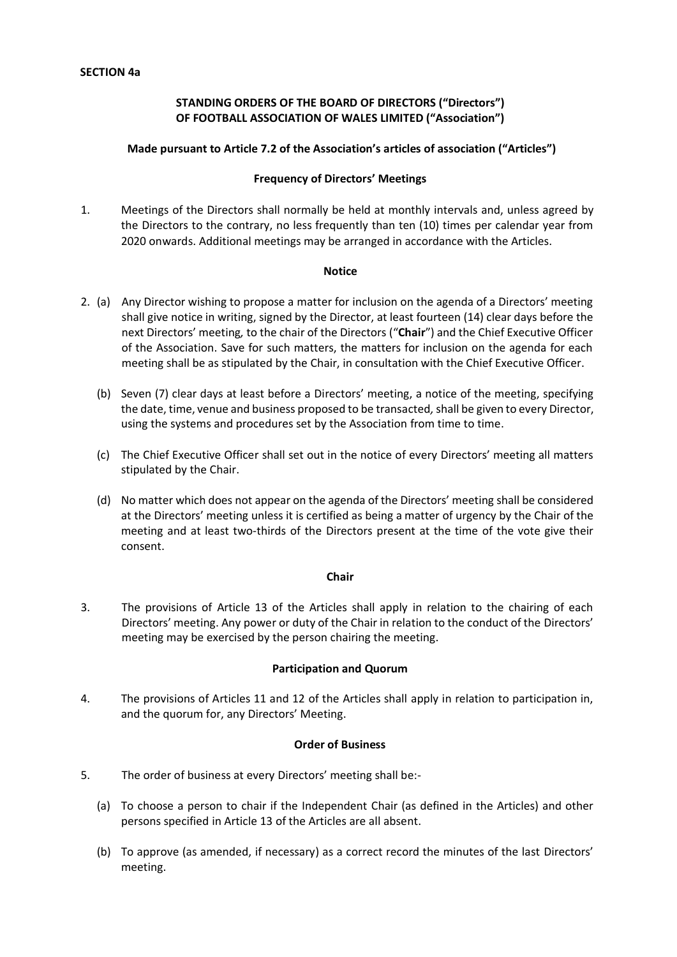# **STANDING ORDERS OF THE BOARD OF DIRECTORS ("Directors") OF FOOTBALL ASSOCIATION OF WALES LIMITED ("Association")**

## **Made pursuant to Article 7.2 of the Association's articles of association ("Articles")**

#### **Frequency of Directors' Meetings**

1. Meetings of the Directors shall normally be held at monthly intervals and, unless agreed by the Directors to the contrary, no less frequently than ten (10) times per calendar year from 2020 onwards. Additional meetings may be arranged in accordance with the Articles.

#### **Notice**

- 2. (a) Any Director wishing to propose a matter for inclusion on the agenda of a Directors' meeting shall give notice in writing, signed by the Director, at least fourteen (14) clear days before the next Directors' meeting*,* to the chair of the Directors ("**Chair**") and the Chief Executive Officer of the Association. Save for such matters, the matters for inclusion on the agenda for each meeting shall be as stipulated by the Chair, in consultation with the Chief Executive Officer.
	- (b) Seven (7) clear days at least before a Directors' meeting, a notice of the meeting, specifying the date, time, venue and business proposed to be transacted*,* shall be given to every Director, using the systems and procedures set by the Association from time to time.
	- (c) The Chief Executive Officer shall set out in the notice of every Directors' meeting all matters stipulated by the Chair.
	- (d) No matter which does not appear on the agenda of the Directors' meeting shall be considered at the Directors' meeting unless it is certified as being a matter of urgency by the Chair of the meeting and at least two-thirds of the Directors present at the time of the vote give their consent.

#### **Chair**

3. The provisions of Article 13 of the Articles shall apply in relation to the chairing of each Directors' meeting. Any power or duty of the Chair in relation to the conduct of the Directors' meeting may be exercised by the person chairing the meeting.

## **Participation and Quorum**

4. The provisions of Articles 11 and 12 of the Articles shall apply in relation to participation in, and the quorum for, any Directors' Meeting.

#### **Order of Business**

- 5. The order of business at every Directors' meeting shall be:-
	- (a) To choose a person to chair if the Independent Chair (as defined in the Articles) and other persons specified in Article 13 of the Articles are all absent.
	- (b) To approve (as amended, if necessary) as a correct record the minutes of the last Directors' meeting.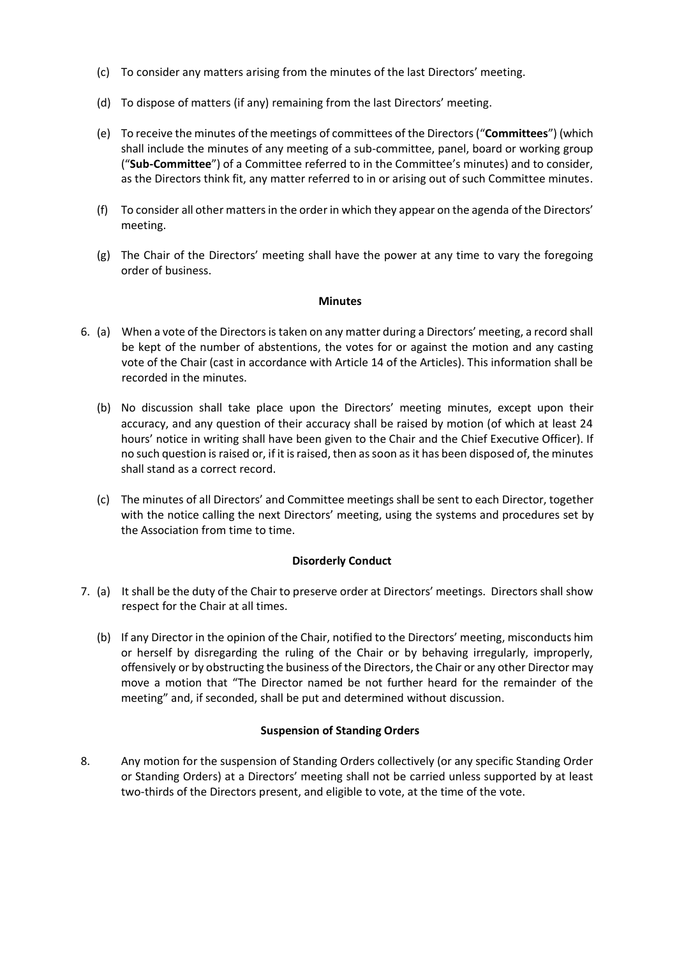- (c) To consider any matters arising from the minutes of the last Directors' meeting.
- (d) To dispose of matters (if any) remaining from the last Directors' meeting.
- (e) To receive the minutes of the meetings of committees of the Directors("**Committees**") (which shall include the minutes of any meeting of a sub-committee, panel, board or working group ("**Sub-Committee**") of a Committee referred to in the Committee's minutes) and to consider, as the Directors think fit, any matter referred to in or arising out of such Committee minutes.
- (f) To consider all other mattersin the order in which they appear on the agenda of the Directors' meeting.
- (g) The Chair of the Directors' meeting shall have the power at any time to vary the foregoing order of business.

#### **Minutes**

- 6. (a) When a vote of the Directors is taken on any matter during a Directors' meeting, a record shall be kept of the number of abstentions, the votes for or against the motion and any casting vote of the Chair (cast in accordance with Article 14 of the Articles). This information shall be recorded in the minutes.
	- (b) No discussion shall take place upon the Directors' meeting minutes, except upon their accuracy, and any question of their accuracy shall be raised by motion (of which at least 24 hours' notice in writing shall have been given to the Chair and the Chief Executive Officer). If no such question is raised or, if it is raised, then as soon as it has been disposed of, the minutes shall stand as a correct record.
	- (c) The minutes of all Directors' and Committee meetings shall be sent to each Director, together with the notice calling the next Directors' meeting, using the systems and procedures set by the Association from time to time.

## **Disorderly Conduct**

- 7. (a) It shall be the duty of the Chair to preserve order at Directors' meetings. Directors shall show respect for the Chair at all times.
	- (b) If any Director in the opinion of the Chair, notified to the Directors' meeting, misconducts him or herself by disregarding the ruling of the Chair or by behaving irregularly, improperly, offensively or by obstructing the business of the Directors, the Chair or any other Director may move a motion that "The Director named be not further heard for the remainder of the meeting" and, if seconded, shall be put and determined without discussion.

## **Suspension of Standing Orders**

8. Any motion for the suspension of Standing Orders collectively (or any specific Standing Order or Standing Orders) at a Directors' meeting shall not be carried unless supported by at least two-thirds of the Directors present, and eligible to vote, at the time of the vote.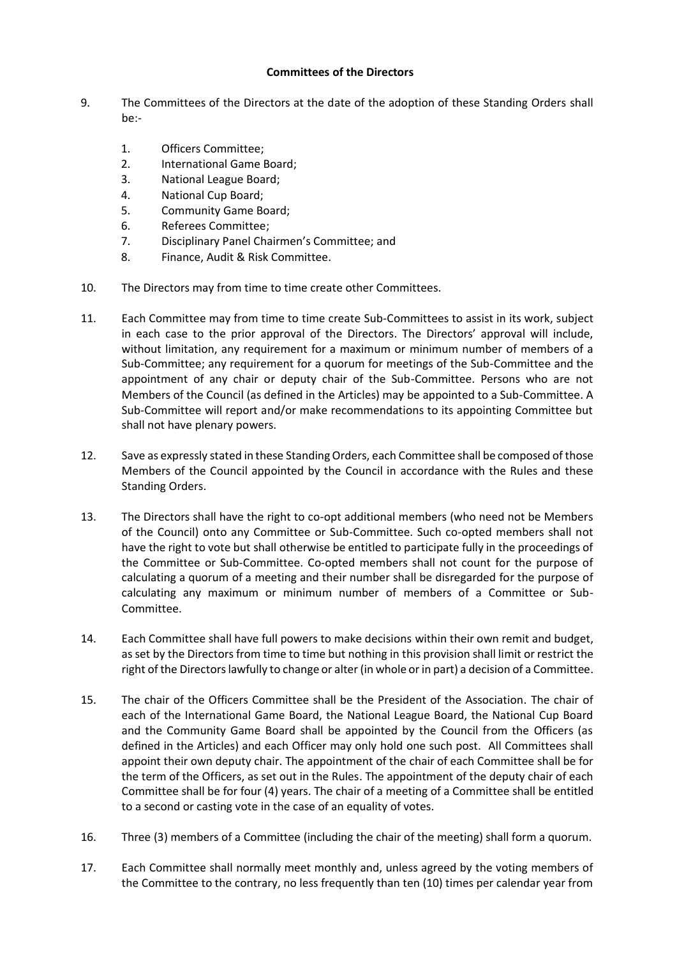# **Committees of the Directors**

- 9. The Committees of the Directors at the date of the adoption of these Standing Orders shall be:-
	- 1. Officers Committee;
	- 2. International Game Board;
	- 3. National League Board;
	- 4. National Cup Board;
	- 5. Community Game Board;
	- 6. Referees Committee;
	- 7. Disciplinary Panel Chairmen's Committee; and
	- 8. Finance, Audit & Risk Committee.
- 10. The Directors may from time to time create other Committees.
- 11. Each Committee may from time to time create Sub-Committees to assist in its work, subject in each case to the prior approval of the Directors. The Directors' approval will include, without limitation, any requirement for a maximum or minimum number of members of a Sub-Committee; any requirement for a quorum for meetings of the Sub-Committee and the appointment of any chair or deputy chair of the Sub-Committee. Persons who are not Members of the Council (as defined in the Articles) may be appointed to a Sub-Committee. A Sub-Committee will report and/or make recommendations to its appointing Committee but shall not have plenary powers.
- 12. Save as expressly stated in these Standing Orders, each Committee shall be composed of those Members of the Council appointed by the Council in accordance with the Rules and these Standing Orders.
- 13. The Directors shall have the right to co-opt additional members (who need not be Members of the Council) onto any Committee or Sub-Committee. Such co-opted members shall not have the right to vote but shall otherwise be entitled to participate fully in the proceedings of the Committee or Sub-Committee. Co-opted members shall not count for the purpose of calculating a quorum of a meeting and their number shall be disregarded for the purpose of calculating any maximum or minimum number of members of a Committee or Sub-Committee.
- 14. Each Committee shall have full powers to make decisions within their own remit and budget, as set by the Directors from time to time but nothing in this provision shall limit or restrict the right of the Directors lawfully to change or alter (in whole or in part) a decision of a Committee.
- 15. The chair of the Officers Committee shall be the President of the Association. The chair of each of the International Game Board, the National League Board, the National Cup Board and the Community Game Board shall be appointed by the Council from the Officers (as defined in the Articles) and each Officer may only hold one such post. All Committees shall appoint their own deputy chair. The appointment of the chair of each Committee shall be for the term of the Officers, as set out in the Rules. The appointment of the deputy chair of each Committee shall be for four (4) years. The chair of a meeting of a Committee shall be entitled to a second or casting vote in the case of an equality of votes.
- 16. Three (3) members of a Committee (including the chair of the meeting) shall form a quorum.
- 17. Each Committee shall normally meet monthly and, unless agreed by the voting members of the Committee to the contrary, no less frequently than ten (10) times per calendar year from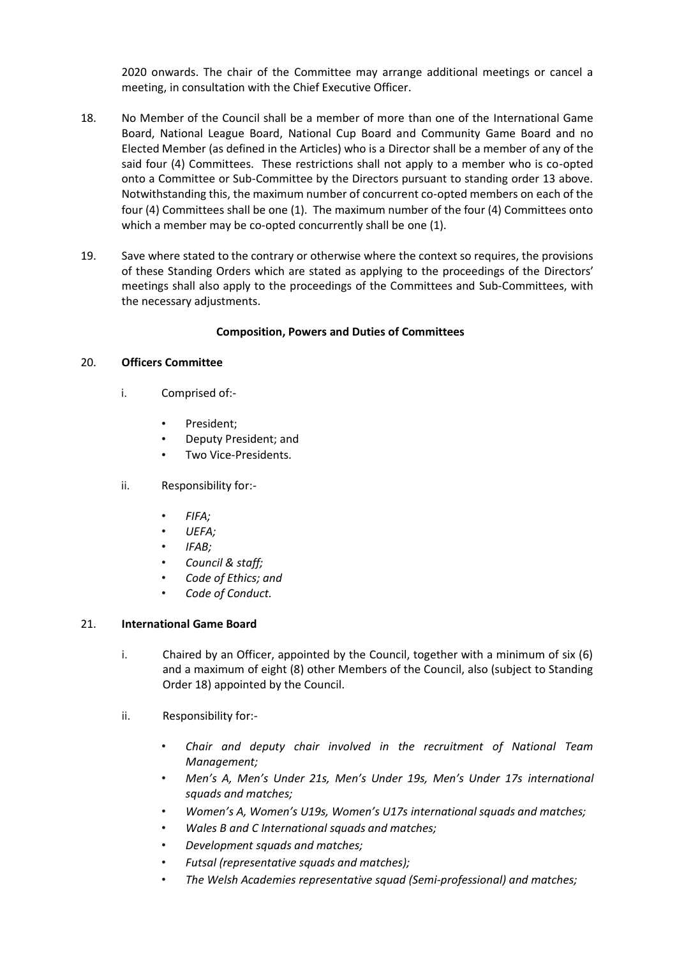2020 onwards. The chair of the Committee may arrange additional meetings or cancel a meeting, in consultation with the Chief Executive Officer.

- 18. No Member of the Council shall be a member of more than one of the International Game Board, National League Board, National Cup Board and Community Game Board and no Elected Member (as defined in the Articles) who is a Director shall be a member of any of the said four (4) Committees. These restrictions shall not apply to a member who is co-opted onto a Committee or Sub-Committee by the Directors pursuant to standing order 13 above. Notwithstanding this, the maximum number of concurrent co-opted members on each of the four (4) Committees shall be one (1). The maximum number of the four (4) Committees onto which a member may be co-opted concurrently shall be one (1).
- 19. Save where stated to the contrary or otherwise where the context so requires, the provisions of these Standing Orders which are stated as applying to the proceedings of the Directors' meetings shall also apply to the proceedings of the Committees and Sub-Committees, with the necessary adjustments.

#### **Composition, Powers and Duties of Committees**

#### 20. **Officers Committee**

- i. Comprised of:-
	- President:
	- Deputy President; and
	- Two Vice-Presidents.
- ii. Responsibility for:-
	- *FIFA;*
	- *UEFA;*
	- *IFAB;*
	- *Council & staff;*
	- *Code of Ethics; and*
	- *Code of Conduct.*

## 21. **International Game Board**

- i. Chaired by an Officer, appointed by the Council, together with a minimum of six (6) and a maximum of eight (8) other Members of the Council, also (subject to Standing Order 18) appointed by the Council.
- ii. Responsibility for:-
	- *Chair and deputy chair involved in the recruitment of National Team Management;*
	- *Men's A, Men's Under 21s, Men's Under 19s, Men's Under 17s international squads and matches;*
	- *Women's A, Women's U19s, Women's U17s international squads and matches;*
	- *Wales B and C International squads and matches;*
	- *Development squads and matches;*
	- *Futsal (representative squads and matches);*
	- *The Welsh Academies representative squad (Semi-professional) and matches;*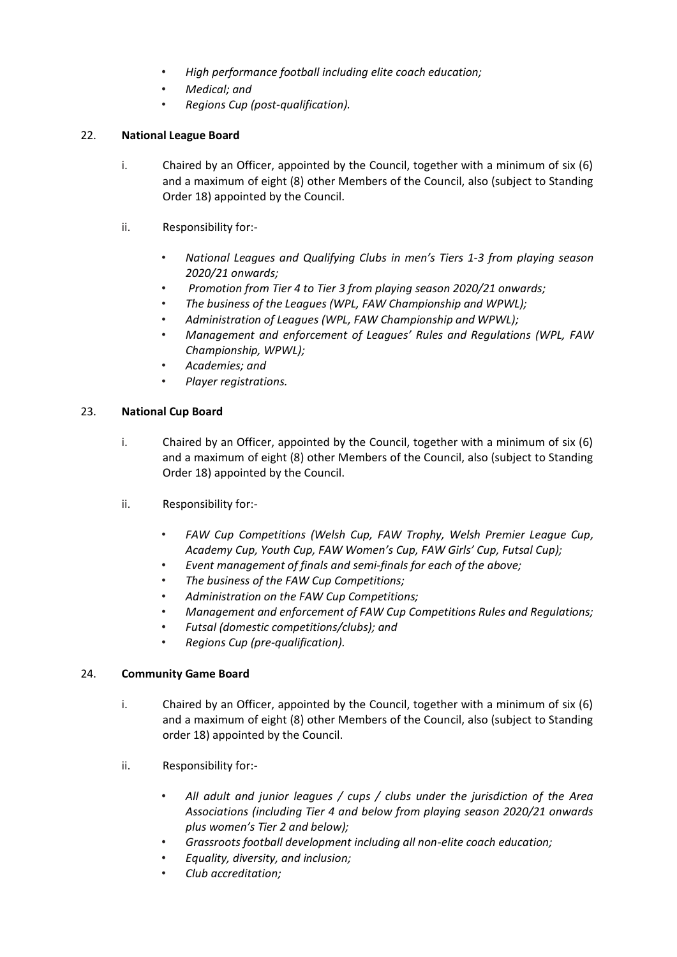- *High performance football including elite coach education;*
- *Medical; and*
- *Regions Cup (post-qualification).*

# 22. **National League Board**

- i. Chaired by an Officer, appointed by the Council, together with a minimum of six (6) and a maximum of eight (8) other Members of the Council, also (subject to Standing Order 18) appointed by the Council.
- ii. Responsibility for:-
	- *National Leagues and Qualifying Clubs in men's Tiers 1-3 from playing season 2020/21 onwards;*
	- *Promotion from Tier 4 to Tier 3 from playing season 2020/21 onwards;*
	- *The business of the Leagues (WPL, FAW Championship and WPWL);*
	- *Administration of Leagues (WPL, FAW Championship and WPWL);*
	- *Management and enforcement of Leagues' Rules and Regulations (WPL, FAW Championship, WPWL);*
	- *Academies; and*
	- *Player registrations.*

# 23. **National Cup Board**

- i. Chaired by an Officer, appointed by the Council, together with a minimum of six (6) and a maximum of eight (8) other Members of the Council, also (subject to Standing Order 18) appointed by the Council.
- ii. Responsibility for:-
	- *FAW Cup Competitions (Welsh Cup, FAW Trophy, Welsh Premier League Cup, Academy Cup, Youth Cup, FAW Women's Cup, FAW Girls' Cup, Futsal Cup);*
	- *Event management of finals and semi-finals for each of the above;*
	- *The business of the FAW Cup Competitions;*
	- *Administration on the FAW Cup Competitions;*
	- *Management and enforcement of FAW Cup Competitions Rules and Regulations;*
	- *Futsal (domestic competitions/clubs); and*
	- *Regions Cup (pre-qualification).*

## 24. **Community Game Board**

- i. Chaired by an Officer, appointed by the Council, together with a minimum of six (6) and a maximum of eight (8) other Members of the Council, also (subject to Standing order 18) appointed by the Council.
- ii. Responsibility for:-
	- *All adult and junior leagues / cups / clubs under the jurisdiction of the Area Associations (including Tier 4 and below from playing season 2020/21 onwards plus women's Tier 2 and below);*
	- *Grassroots football development including all non-elite coach education;*
	- *Equality, diversity, and inclusion;*
	- *Club accreditation;*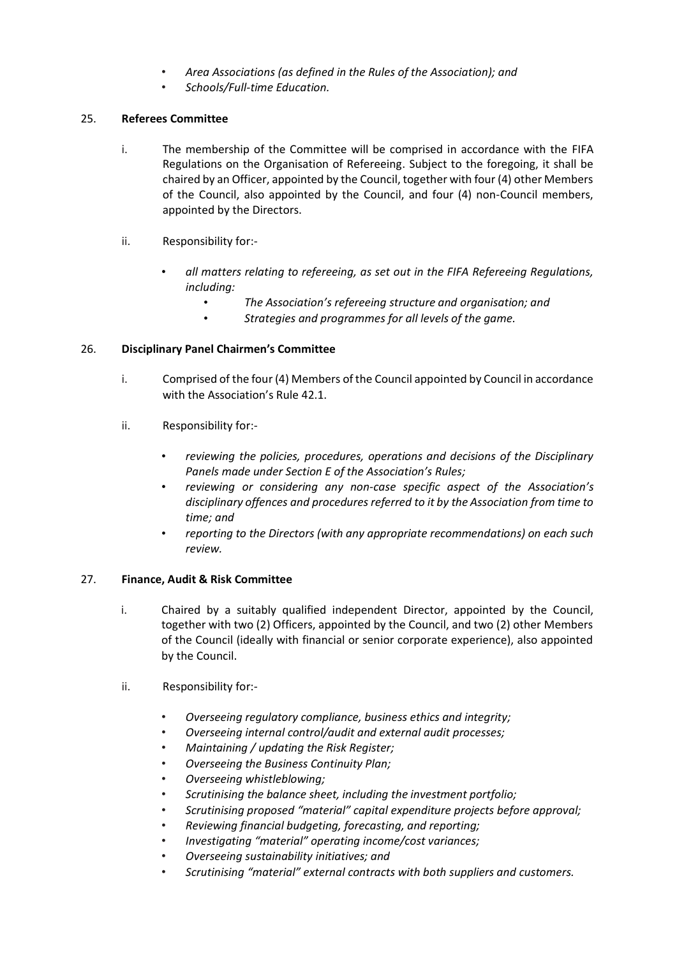- *Area Associations (as defined in the Rules of the Association); and*
- *Schools/Full-time Education.*

## 25. **Referees Committee**

- i. The membership of the Committee will be comprised in accordance with the FIFA Regulations on the Organisation of Refereeing. Subject to the foregoing, it shall be chaired by an Officer, appointed by the Council, together with four (4) other Members of the Council, also appointed by the Council, and four (4) non-Council members, appointed by the Directors.
- ii. Responsibility for:-
	- *all matters relating to refereeing, as set out in the FIFA Refereeing Regulations, including:*
		- *The Association's refereeing structure and organisation; and*
		- *Strategies and programmes for all levels of the game.*

## 26. **Disciplinary Panel Chairmen's Committee**

- i. Comprised of the four (4) Members of the Council appointed by Council in accordance with the Association's Rule 42.1.
- ii. Responsibility for:-
	- *reviewing the policies, procedures, operations and decisions of the Disciplinary Panels made under Section E of the Association's Rules;*
	- *reviewing or considering any non-case specific aspect of the Association's disciplinary offences and procedures referred to it by the Association from time to time; and*
	- *reporting to the Directors (with any appropriate recommendations) on each such review.*

## 27. **Finance, Audit & Risk Committee**

- i. Chaired by a suitably qualified independent Director, appointed by the Council, together with two (2) Officers, appointed by the Council, and two (2) other Members of the Council (ideally with financial or senior corporate experience), also appointed by the Council.
- ii. Responsibility for:-
	- *Overseeing regulatory compliance, business ethics and integrity;*
	- *Overseeing internal control/audit and external audit processes;*
	- *Maintaining / updating the Risk Register;*
	- *Overseeing the Business Continuity Plan;*
	- *Overseeing whistleblowing;*
	- *Scrutinising the balance sheet, including the investment portfolio;*
	- *Scrutinising proposed "material" capital expenditure projects before approval;*
	- *Reviewing financial budgeting, forecasting, and reporting;*
	- *Investigating "material" operating income/cost variances;*
	- *Overseeing sustainability initiatives; and*
	- *Scrutinising "material" external contracts with both suppliers and customers.*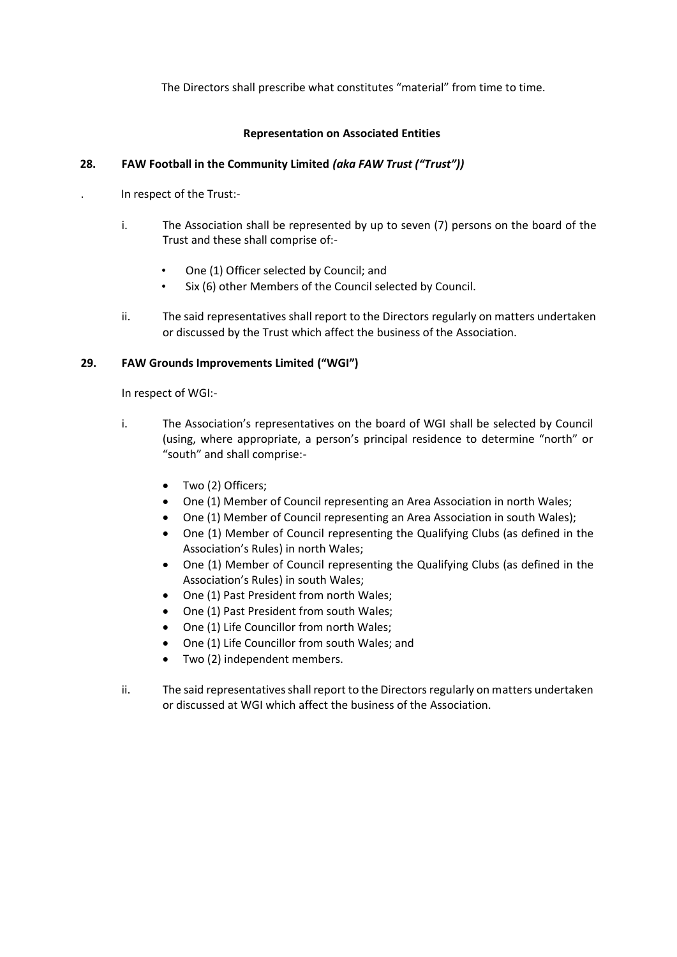The Directors shall prescribe what constitutes "material" from time to time.

# **Representation on Associated Entities**

# **28. FAW Football in the Community Limited** *(aka FAW Trust ("Trust"))*

- . In respect of the Trust:
	- i. The Association shall be represented by up to seven (7) persons on the board of the Trust and these shall comprise of:-
		- One (1) Officer selected by Council; and
		- Six (6) other Members of the Council selected by Council.
	- ii. The said representatives shall report to the Directors regularly on matters undertaken or discussed by the Trust which affect the business of the Association.

# **29. FAW Grounds Improvements Limited ("WGI")**

In respect of WGI:-

- i. The Association's representatives on the board of WGI shall be selected by Council (using, where appropriate, a person's principal residence to determine "north" or "south" and shall comprise:-
	- Two (2) Officers;
	- One (1) Member of Council representing an Area Association in north Wales;
	- One (1) Member of Council representing an Area Association in south Wales);
	- One (1) Member of Council representing the Qualifying Clubs (as defined in the Association's Rules) in north Wales;
	- One (1) Member of Council representing the Qualifying Clubs (as defined in the Association's Rules) in south Wales;
	- One (1) Past President from north Wales;
	- One (1) Past President from south Wales;
	- One (1) Life Councillor from north Wales;
	- One (1) Life Councillor from south Wales; and
	- Two (2) independent members.
- ii. The said representatives shall report to the Directors regularly on matters undertaken or discussed at WGI which affect the business of the Association.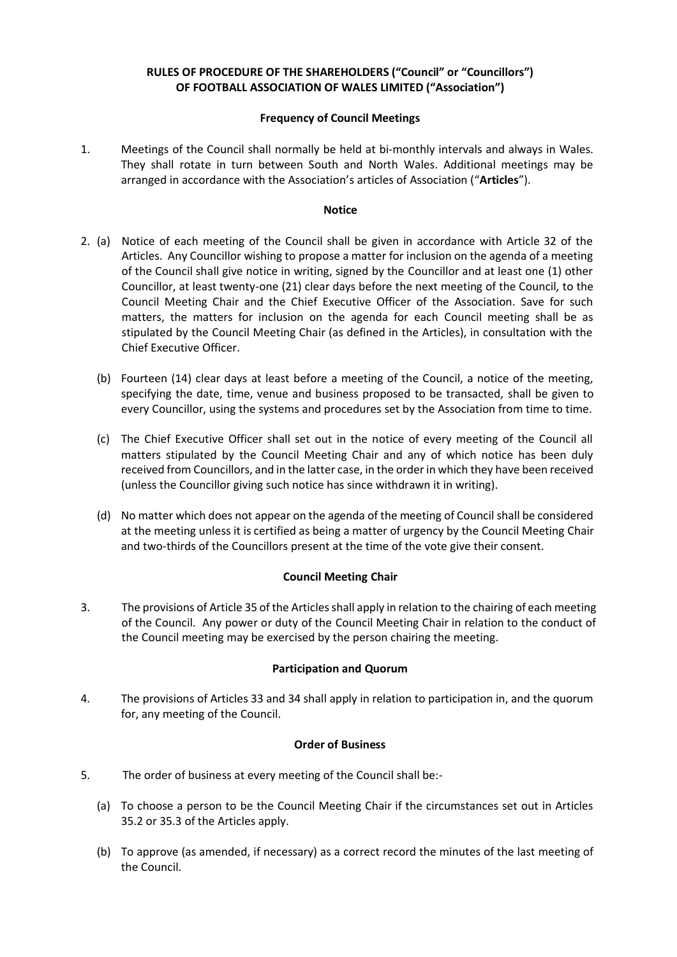# **RULES OF PROCEDURE OF THE SHAREHOLDERS ("Council" or "Councillors") OF FOOTBALL ASSOCIATION OF WALES LIMITED ("Association")**

## **Frequency of Council Meetings**

1. Meetings of the Council shall normally be held at bi-monthly intervals and always in Wales. They shall rotate in turn between South and North Wales. Additional meetings may be arranged in accordance with the Association's articles of Association ("**Articles**").

#### **Notice**

- 2. (a) Notice of each meeting of the Council shall be given in accordance with Article 32 of the Articles. Any Councillor wishing to propose a matter for inclusion on the agenda of a meeting of the Council shall give notice in writing, signed by the Councillor and at least one (1) other Councillor, at least twenty-one (21) clear days before the next meeting of the Council*,* to the Council Meeting Chair and the Chief Executive Officer of the Association. Save for such matters, the matters for inclusion on the agenda for each Council meeting shall be as stipulated by the Council Meeting Chair (as defined in the Articles), in consultation with the Chief Executive Officer.
	- (b) Fourteen (14) clear days at least before a meeting of the Council, a notice of the meeting, specifying the date, time, venue and business proposed to be transacted*,* shall be given to every Councillor, using the systems and procedures set by the Association from time to time.
	- (c) The Chief Executive Officer shall set out in the notice of every meeting of the Council all matters stipulated by the Council Meeting Chair and any of which notice has been duly received from Councillors, and in the latter case, in the order in which they have been received (unless the Councillor giving such notice has since withdrawn it in writing).
	- (d) No matter which does not appear on the agenda of the meeting of Council shall be considered at the meeting unless it is certified as being a matter of urgency by the Council Meeting Chair and two-thirds of the Councillors present at the time of the vote give their consent.

## **Council Meeting Chair**

3. The provisions of Article 35 of the Articles shall apply in relation to the chairing of each meeting of the Council. Any power or duty of the Council Meeting Chair in relation to the conduct of the Council meeting may be exercised by the person chairing the meeting.

#### **Participation and Quorum**

4. The provisions of Articles 33 and 34 shall apply in relation to participation in, and the quorum for, any meeting of the Council.

## **Order of Business**

- 5. The order of business at every meeting of the Council shall be:-
	- (a) To choose a person to be the Council Meeting Chair if the circumstances set out in Articles 35.2 or 35.3 of the Articles apply.
	- (b) To approve (as amended, if necessary) as a correct record the minutes of the last meeting of the Council.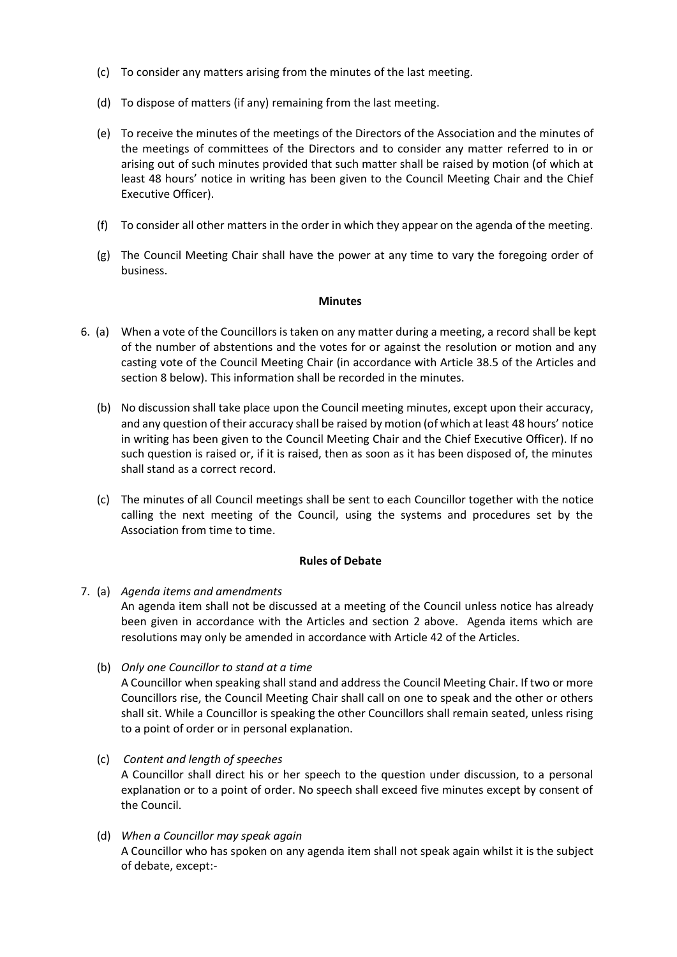- (c) To consider any matters arising from the minutes of the last meeting.
- (d) To dispose of matters (if any) remaining from the last meeting.
- (e) To receive the minutes of the meetings of the Directors of the Association and the minutes of the meetings of committees of the Directors and to consider any matter referred to in or arising out of such minutes provided that such matter shall be raised by motion (of which at least 48 hours' notice in writing has been given to the Council Meeting Chair and the Chief Executive Officer).
- (f) To consider all other matters in the order in which they appear on the agenda of the meeting.
- (g) The Council Meeting Chair shall have the power at any time to vary the foregoing order of business.

#### **Minutes**

- 6. (a) When a vote of the Councillors is taken on any matter during a meeting, a record shall be kept of the number of abstentions and the votes for or against the resolution or motion and any casting vote of the Council Meeting Chair (in accordance with Article 38.5 of the Articles and section 8 below). This information shall be recorded in the minutes.
	- (b) No discussion shall take place upon the Council meeting minutes, except upon their accuracy, and any question of their accuracy shall be raised by motion (of which at least 48 hours' notice in writing has been given to the Council Meeting Chair and the Chief Executive Officer). If no such question is raised or, if it is raised, then as soon as it has been disposed of, the minutes shall stand as a correct record.
	- (c) The minutes of all Council meetings shall be sent to each Councillor together with the notice calling the next meeting of the Council, using the systems and procedures set by the Association from time to time.

## **Rules of Debate**

- 7. (a) *Agenda items and amendments* An agenda item shall not be discussed at a meeting of the Council unless notice has already been given in accordance with the Articles and section 2 above. Agenda items which are resolutions may only be amended in accordance with Article 42 of the Articles.
	- (b) *Only one Councillor to stand at a time*  A Councillor when speaking shall stand and address the Council Meeting Chair. If two or more Councillors rise, the Council Meeting Chair shall call on one to speak and the other or others shall sit. While a Councillor is speaking the other Councillors shall remain seated, unless rising to a point of order or in personal explanation.
	- (c) *Content and length of speeches*  A Councillor shall direct his or her speech to the question under discussion, to a personal explanation or to a point of order. No speech shall exceed five minutes except by consent of the Council.
	- (d) *When a Councillor may speak again*  A Councillor who has spoken on any agenda item shall not speak again whilst it is the subject of debate, except:-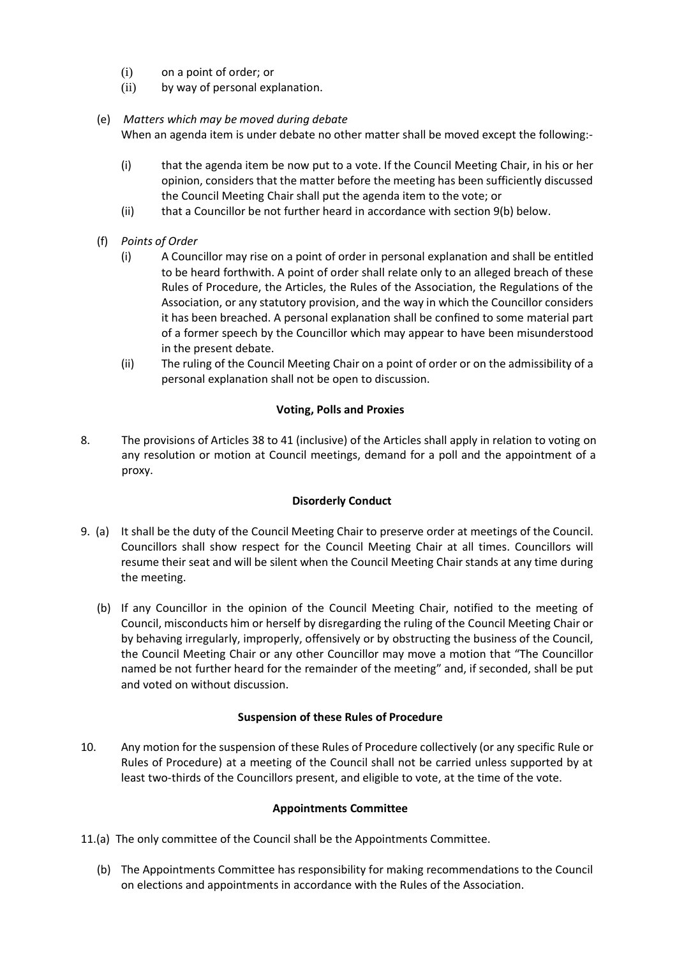- (i) on a point of order; or
- (ii) by way of personal explanation.
- (e) *Matters which may be moved during debate*

When an agenda item is under debate no other matter shall be moved except the following:-

- (i) that the agenda item be now put to a vote. If the Council Meeting Chair, in his or her opinion, considers that the matter before the meeting has been sufficiently discussed the Council Meeting Chair shall put the agenda item to the vote; or
- (ii) that a Councillor be not further heard in accordance with section 9(b) below.
- (f) *Points of Order*
	- (i) A Councillor may rise on a point of order in personal explanation and shall be entitled to be heard forthwith. A point of order shall relate only to an alleged breach of these Rules of Procedure, the Articles, the Rules of the Association, the Regulations of the Association, or any statutory provision, and the way in which the Councillor considers it has been breached. A personal explanation shall be confined to some material part of a former speech by the Councillor which may appear to have been misunderstood in the present debate.
	- (ii) The ruling of the Council Meeting Chair on a point of order or on the admissibility of a personal explanation shall not be open to discussion.

## **Voting, Polls and Proxies**

8. The provisions of Articles 38 to 41 (inclusive) of the Articles shall apply in relation to voting on any resolution or motion at Council meetings, demand for a poll and the appointment of a proxy.

## **Disorderly Conduct**

- 9. (a) It shall be the duty of the Council Meeting Chair to preserve order at meetings of the Council. Councillors shall show respect for the Council Meeting Chair at all times. Councillors will resume their seat and will be silent when the Council Meeting Chair stands at any time during the meeting.
	- (b) If any Councillor in the opinion of the Council Meeting Chair, notified to the meeting of Council, misconducts him or herself by disregarding the ruling of the Council Meeting Chair or by behaving irregularly, improperly, offensively or by obstructing the business of the Council, the Council Meeting Chair or any other Councillor may move a motion that "The Councillor named be not further heard for the remainder of the meeting" and, if seconded, shall be put and voted on without discussion.

## **Suspension of these Rules of Procedure**

10. Any motion for the suspension of these Rules of Procedure collectively (or any specific Rule or Rules of Procedure) at a meeting of the Council shall not be carried unless supported by at least two-thirds of the Councillors present, and eligible to vote, at the time of the vote.

## **Appointments Committee**

- 11.(a) The only committee of the Council shall be the Appointments Committee.
	- (b) The Appointments Committee has responsibility for making recommendations to the Council on elections and appointments in accordance with the Rules of the Association.